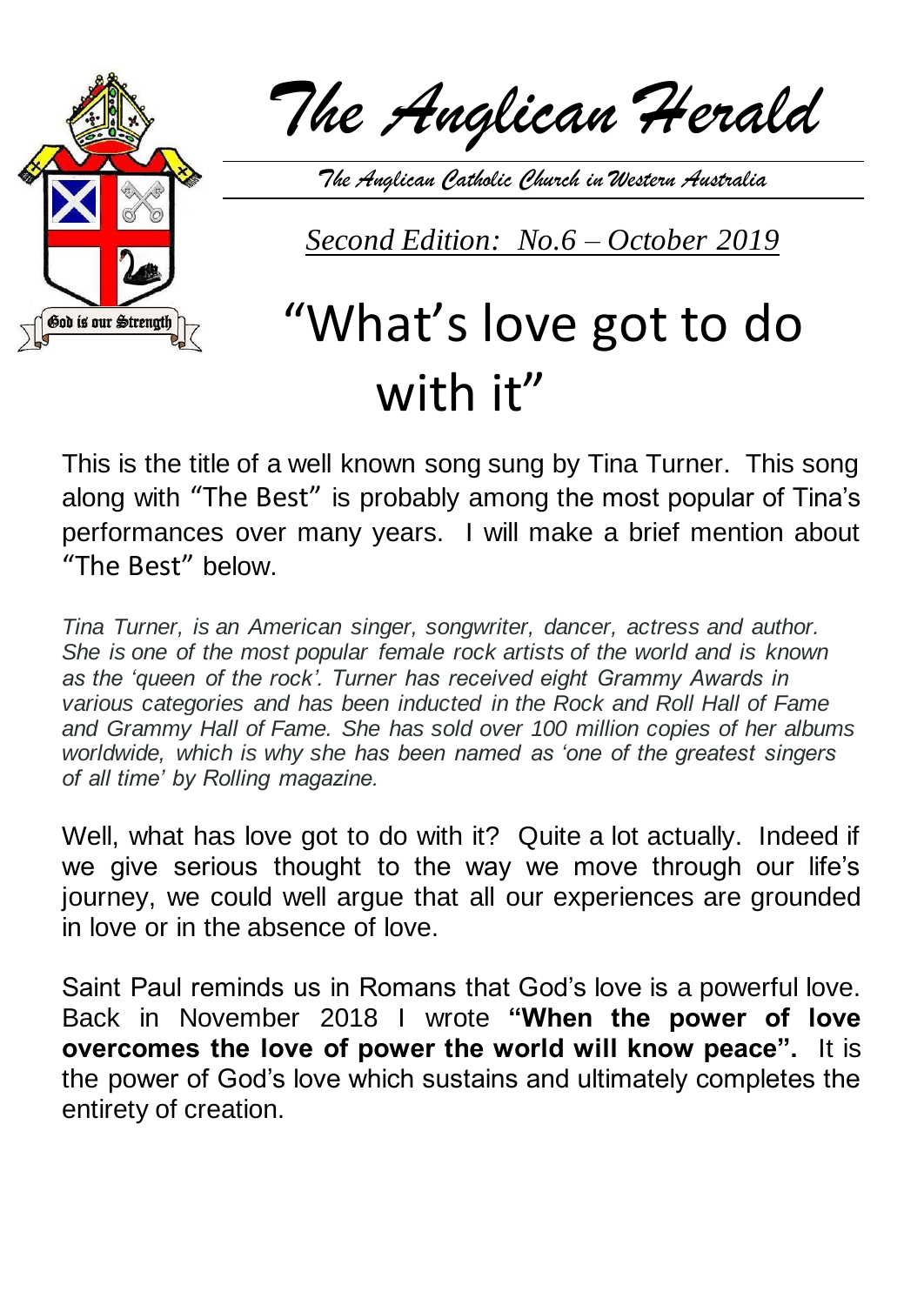

*The Anglican Herald*

*The Anglican Catholic Church in Western Australia*

*Second Edition: No.6 – October 2019* 

## "What's love got to do with it"

This is the title of a well known song sung by Tina Turner. This song along with "The Best" is probably among the most popular of Tina's performances over many years. I will make a brief mention about "The Best" below.

*Tina Turner, is an American singer, songwriter, dancer, actress and author. She is one of the most popular female rock artists of the world and is known as the 'queen of the rock'. Turner has received eight Grammy Awards in various categories and has been inducted in the Rock and Roll Hall of Fame and Grammy Hall of Fame. She has sold over 100 million copies of her albums worldwide, which is why she has been named as 'one of the greatest singers of all time' by Rolling magazine.*

Well, what has love got to do with it? Quite a lot actually. Indeed if we give serious thought to the way we move through our life's journey, we could well argue that all our experiences are grounded in love or in the absence of love.

Saint Paul reminds us in Romans that God's love is a powerful love. Back in November 2018 I wrote **"When the power of love overcomes the love of power the world will know peace".** It is the power of God's love which sustains and ultimately completes the entirety of creation.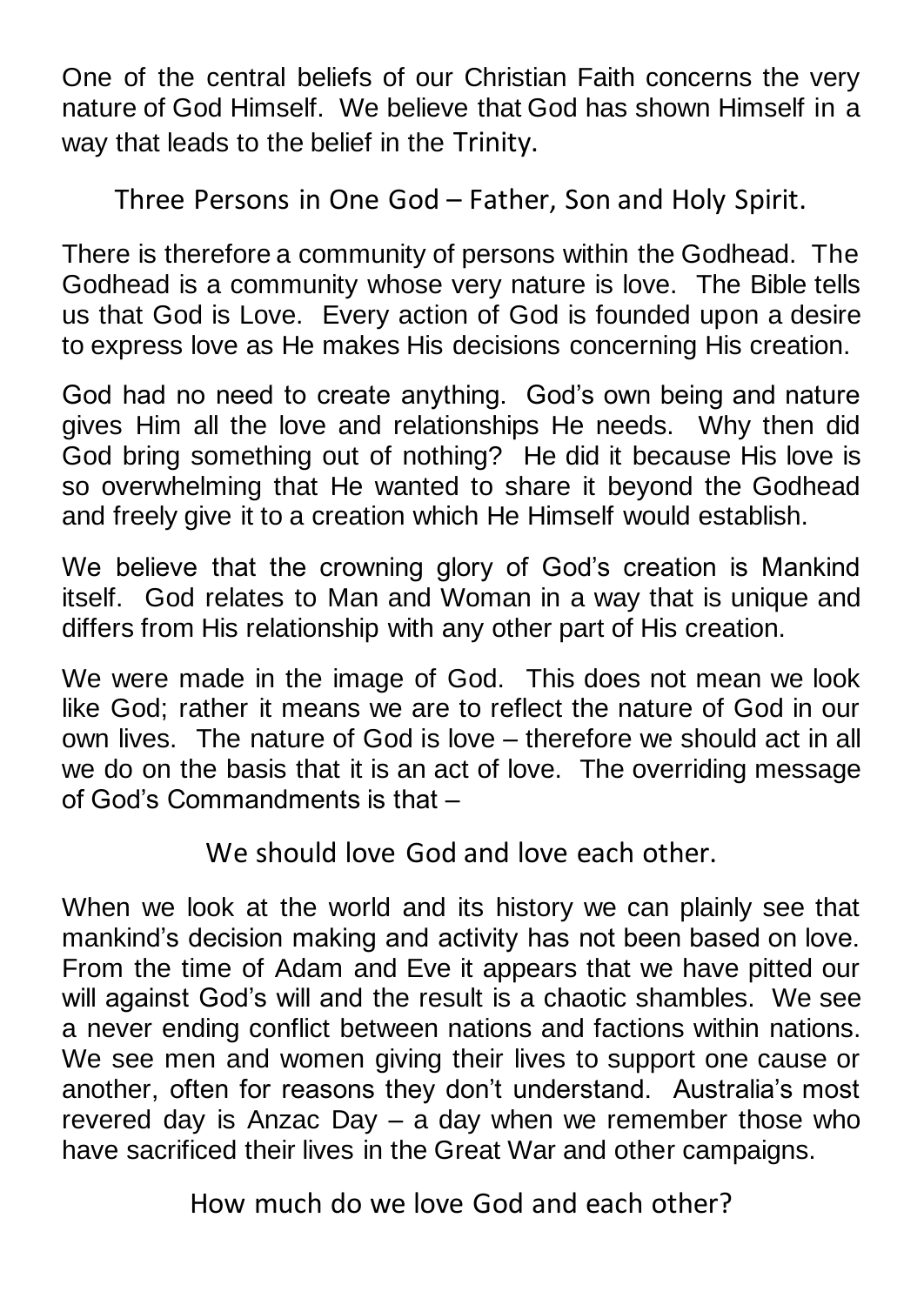One of the central beliefs of our Christian Faith concerns the very nature of God Himself. We believe that God has shown Himself in a way that leads to the belief in the Trinity.

Three Persons in One God – Father, Son and Holy Spirit.

There is therefore a community of persons within the Godhead. The Godhead is a community whose very nature is love. The Bible tells us that God is Love. Every action of God is founded upon a desire to express love as He makes His decisions concerning His creation.

God had no need to create anything. God's own being and nature gives Him all the love and relationships He needs. Why then did God bring something out of nothing? He did it because His love is so overwhelming that He wanted to share it beyond the Godhead and freely give it to a creation which He Himself would establish.

We believe that the crowning glory of God's creation is Mankind itself. God relates to Man and Woman in a way that is unique and differs from His relationship with any other part of His creation.

We were made in the image of God. This does not mean we look like God; rather it means we are to reflect the nature of God in our own lives. The nature of God is love – therefore we should act in all we do on the basis that it is an act of love. The overriding message of God's Commandments is that –

We should love God and love each other.

When we look at the world and its history we can plainly see that mankind's decision making and activity has not been based on love. From the time of Adam and Eve it appears that we have pitted our will against God's will and the result is a chaotic shambles. We see a never ending conflict between nations and factions within nations. We see men and women giving their lives to support one cause or another, often for reasons they don't understand. Australia's most revered day is Anzac Day – a day when we remember those who have sacrificed their lives in the Great War and other campaigns.

How much do we love God and each other?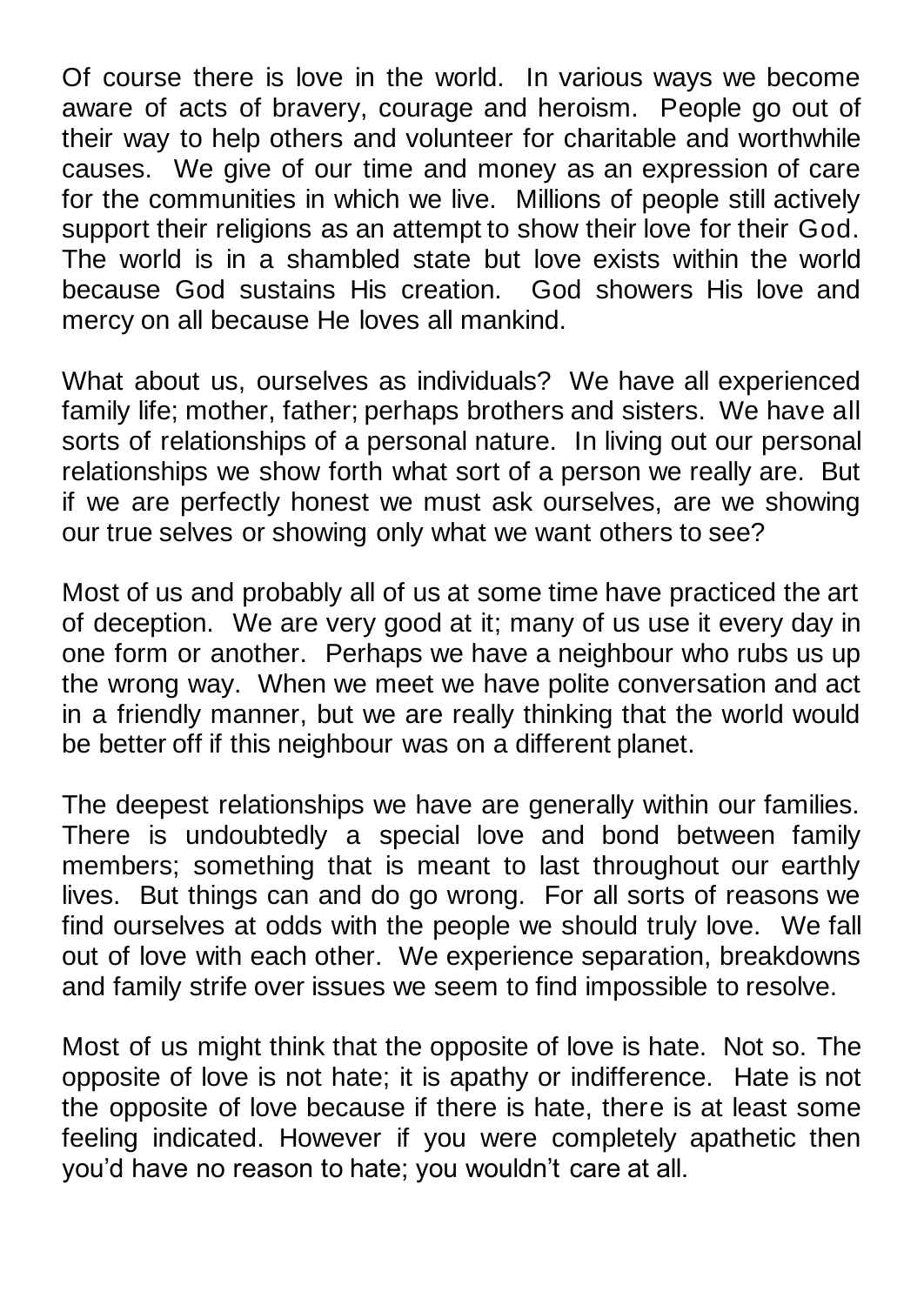Of course there is love in the world. In various ways we become aware of acts of bravery, courage and heroism. People go out of their way to help others and volunteer for charitable and worthwhile causes. We give of our time and money as an expression of care for the communities in which we live. Millions of people still actively support their religions as an attempt to show their love for their God. The world is in a shambled state but love exists within the world because God sustains His creation. God showers His love and mercy on all because He loves all mankind.

What about us, ourselves as individuals? We have all experienced family life; mother, father; perhaps brothers and sisters. We have all sorts of relationships of a personal nature. In living out our personal relationships we show forth what sort of a person we really are. But if we are perfectly honest we must ask ourselves, are we showing our true selves or showing only what we want others to see?

Most of us and probably all of us at some time have practiced the art of deception. We are very good at it; many of us use it every day in one form or another. Perhaps we have a neighbour who rubs us up the wrong way. When we meet we have polite conversation and act in a friendly manner, but we are really thinking that the world would be better off if this neighbour was on a different planet.

The deepest relationships we have are generally within our families. There is undoubtedly a special love and bond between family members; something that is meant to last throughout our earthly lives. But things can and do go wrong. For all sorts of reasons we find ourselves at odds with the people we should truly love. We fall out of love with each other. We experience separation, breakdowns and family strife over issues we seem to find impossible to resolve.

Most of us might think that the opposite of love is hate. Not so. The opposite of love is not hate; it is apathy or indifference. Hate is not the opposite of love because if there is hate, there is at least some feeling indicated. However if you were completely apathetic then you'd have no reason to hate; you wouldn't care at all.